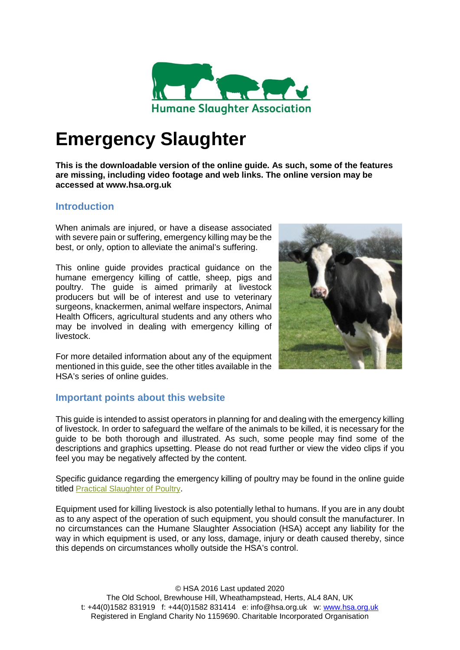

# **Emergency Slaughter**

**This is the downloadable version of the online guide. As such, some of the features are missing, including video footage and web links. The online version may be accessed at www.hsa.org.uk**

## **Introduction**

When animals are injured, or have a disease associated with severe pain or suffering, emergency killing may be the best, or only, option to alleviate the animal's suffering.

This online guide provides practical guidance on the humane emergency killing of cattle, sheep, pigs and poultry. The guide is aimed primarily at livestock producers but will be of interest and use to veterinary surgeons, knackermen, animal welfare inspectors, Animal Health Officers, agricultural students and any others who may be involved in dealing with emergency killing of livestock.



For more detailed information about any of the equipment mentioned in this guide, see the other titles available in the HSA's series of online guides.

## **Important points about this website**

This guide is intended to assist operators in planning for and dealing with the emergency killing of livestock. In order to safeguard the welfare of the animals to be killed, it is necessary for the guide to be both thorough and illustrated. As such, some people may find some of the descriptions and graphics upsetting. Please do not read further or view the video clips if you feel you may be negatively affected by the content.

Specific guidance regarding the emergency killing of poultry may be found in the online guide titled Practical [Slaughter](http://www.hsa.org.uk/introduction-1/introduction-3) of Poultry.

Equipment used for killing livestock is also potentially lethal to humans. If you are in any doubt as to any aspect of the operation of such equipment, you should consult the manufacturer. In no circumstances can the Humane Slaughter Association (HSA) accept any liability for the way in which equipment is used, or any loss, damage, injury or death caused thereby, since this depends on circumstances wholly outside the HSA's control.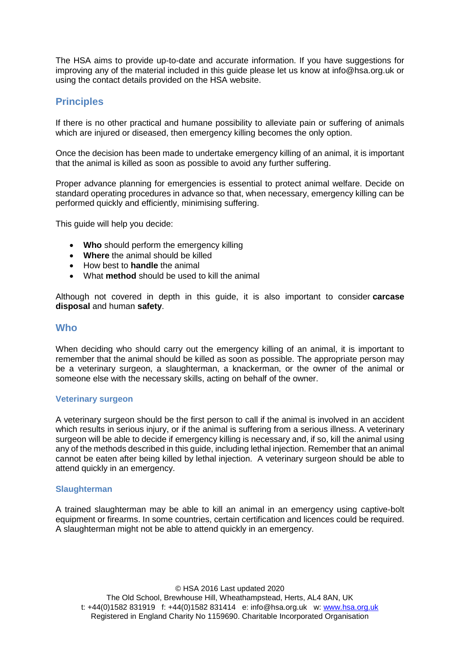The HSA aims to provide up-to-date and accurate information. If you have suggestions for improving any of the material included in this guide please let us know at info@hsa.org.uk or using the contact details provided on the HSA website.

# **Principles**

If there is no other practical and humane possibility to alleviate pain or suffering of animals which are injured or diseased, then emergency killing becomes the only option.

Once the decision has been made to undertake emergency killing of an animal, it is important that the animal is killed as soon as possible to avoid any further suffering.

Proper advance planning for emergencies is essential to protect animal welfare. Decide on standard operating procedures in advance so that, when necessary, emergency killing can be performed quickly and efficiently, minimising suffering.

This guide will help you decide:

- **Who** should perform the emergency killing
- **Where** the animal should be killed
- How best to **handle** the animal
- What **method** should be used to kill the animal

Although not covered in depth in this guide, it is also important to consider **carcase disposal** and human **safety**.

## **Who**

When deciding who should carry out the emergency killing of an animal, it is important to remember that the animal should be killed as soon as possible. The appropriate person may be a veterinary surgeon, a slaughterman, a knackerman, or the owner of the animal or someone else with the necessary skills, acting on behalf of the owner.

#### **Veterinary surgeon**

A veterinary surgeon should be the first person to call if the animal is involved in an accident which results in serious injury, or if the animal is suffering from a serious illness. A veterinary surgeon will be able to decide if emergency killing is necessary and, if so, kill the animal using any of the methods described in this guide, including lethal injection. Remember that an animal cannot be eaten after being killed by lethal injection. A veterinary surgeon should be able to attend quickly in an emergency.

#### **Slaughterman**

A trained slaughterman may be able to kill an animal in an emergency using captive-bolt equipment or firearms. In some countries, certain certification and licences could be required. A slaughterman might not be able to attend quickly in an emergency.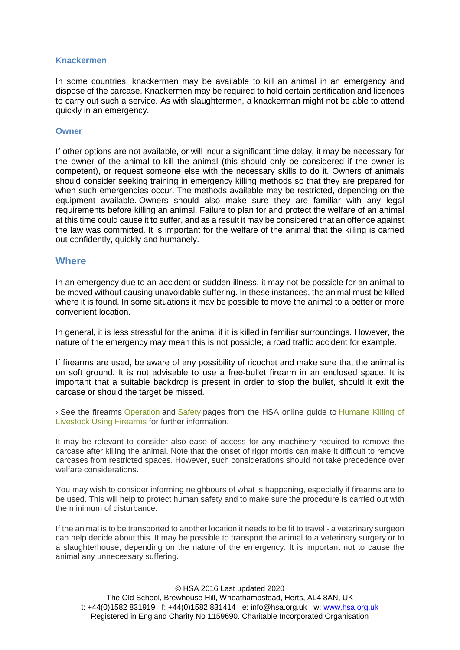#### **Knackermen**

In some countries, knackermen may be available to kill an animal in an emergency and dispose of the carcase. Knackermen may be required to hold certain certification and licences to carry out such a service. As with slaughtermen, a knackerman might not be able to attend quickly in an emergency.

#### **Owner**

If other options are not available, or will incur a significant time delay, it may be necessary for the owner of the animal to kill the animal (this should only be considered if the owner is competent), or request someone else with the necessary skills to do it. Owners of animals should consider seeking training in emergency killing methods so that they are prepared for when such emergencies occur. The methods available may be restricted, depending on the equipment available. Owners should also make sure they are familiar with any legal requirements before killing an animal. Failure to plan for and protect the welfare of an animal at this time could cause it to suffer, and as a result it may be considered that an offence against the law was committed. It is important for the welfare of the animal that the killing is carried out confidently, quickly and humanely.

#### **Where**

In an emergency due to an accident or sudden illness, it may not be possible for an animal to be moved without causing unavoidable suffering. In these instances, the animal must be killed where it is found. In some situations it may be possible to move the animal to a better or more convenient location.

In general, it is less stressful for the animal if it is killed in familiar surroundings. However, the nature of the emergency may mean this is not possible; a road traffic accident for example.

If firearms are used, be aware of any possibility of ricochet and make sure that the animal is on soft ground. It is not advisable to use a free-bullet firearm in an enclosed space. It is important that a suitable backdrop is present in order to stop the bullet, should it exit the carcase or should the target be missed.

› See the firearms [Operation](http://www.hsa.org.uk/operation/operation) and [Safety](http://www.hsa.org.uk/humane-killing-of-livestock-using-firearms-safety/safety-1) pages from the HSA online guide to [Humane](http://www.hsa.org.uk/humane-killing-of-livestock-using-firearms-introduction/introduction-2) Killing of [Livestock](http://www.hsa.org.uk/humane-killing-of-livestock-using-firearms-introduction/introduction-2) Using Firearms for further information.

It may be relevant to consider also ease of access for any machinery required to remove the carcase after killing the animal. Note that the onset of rigor mortis can make it difficult to remove carcases from restricted spaces. However, such considerations should not take precedence over welfare considerations.

You may wish to consider informing neighbours of what is happening, especially if firearms are to be used. This will help to protect human safety and to make sure the procedure is carried out with the minimum of disturbance.

If the animal is to be transported to another location it needs to be fit to travel - a veterinary surgeon can help decide about this. It may be possible to transport the animal to a veterinary surgery or to a slaughterhouse, depending on the nature of the emergency. It is important not to cause the animal any unnecessary suffering.

© HSA 2016 Last updated 2020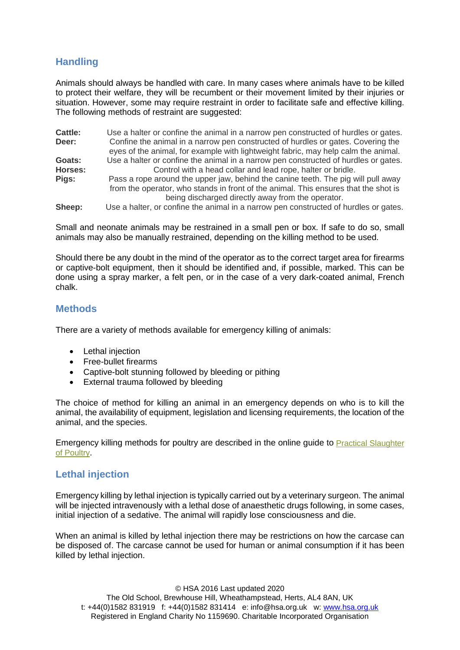# **Handling**

Animals should always be handled with care. In many cases where animals have to be killed to protect their welfare, they will be recumbent or their movement limited by their injuries or situation. However, some may require restraint in order to facilitate safe and effective killing. The following methods of restraint are suggested:

**Cattle:** Use a halter or confine the animal in a narrow pen constructed of hurdles or gates.<br> **Deer:** Confine the animal in a narrow pen constructed of hurdles or gates. Covering the **Deer:** Confine the animal in a narrow pen constructed of hurdles or gates. Covering the eyes of the animal, for example with lightweight fabric, may help calm the animal. **Goats:** Use a halter or confine the animal in a narrow pen constructed of hurdles or gates. **Horses:** Control with a head collar and lead rope, halter or bridle.<br>**Pigs:** Pass a rope around the upper jaw, behind the canine teeth. The pig v **Pigs:** Pass a rope around the upper jaw, behind the canine teeth. The pig will pull away from the operator, who stands in front of the animal. This ensures that the shot is being discharged directly away from the operator. **Sheep:** Use a halter, or confine the animal in a narrow pen constructed of hurdles or gates.

Small and neonate animals may be restrained in a small pen or box. If safe to do so, small animals may also be manually restrained, depending on the killing method to be used.

Should there be any doubt in the mind of the operator as to the correct target area for firearms or captive-bolt equipment, then it should be identified and, if possible, marked. This can be done using a spray marker, a felt pen, or in the case of a very dark-coated animal, French chalk.

## **Methods**

There are a variety of methods available for emergency killing of animals:

- Lethal injection
- Free-bullet firearms
- Captive-bolt stunning followed by bleeding or pithing
- External trauma followed by bleeding

The choice of method for killing an animal in an emergency depends on who is to kill the animal, the availability of equipment, legislation and licensing requirements, the location of the animal, and the species.

Emergency killing methods for poultry are described in the online guide to Practical [Slaughter](http://www.hsa.org.uk/introduction-1/introduction-3) of [Poultry.](http://www.hsa.org.uk/introduction-1/introduction-3)

# **Lethal injection**

Emergency killing by lethal injection is typically carried out by a veterinary surgeon. The animal will be injected intravenously with a lethal dose of anaesthetic drugs following, in some cases, initial injection of a sedative. The animal will rapidly lose consciousness and die.

When an animal is killed by lethal injection there may be restrictions on how the carcase can be disposed of. The carcase cannot be used for human or animal consumption if it has been killed by lethal injection.

© HSA 2016 Last updated 2020 The Old School, Brewhouse Hill, Wheathampstead, Herts, AL4 8AN, UK t: +44(0)1582 831919 f: +44(0)1582 831414 e: info@hsa.org.uk w: [www.hsa.org.uk](http://www.hsa.org.uk/)

Registered in England Charity No 1159690. Charitable Incorporated Organisation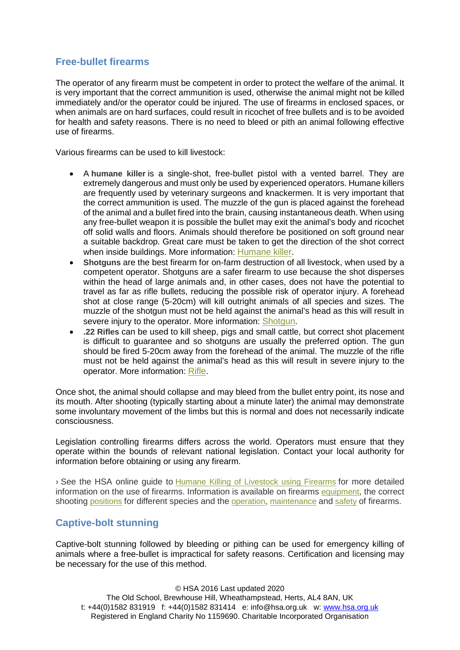# **Free-bullet firearms**

The operator of any firearm must be competent in order to protect the welfare of the animal. It is very important that the correct ammunition is used, otherwise the animal might not be killed immediately and/or the operator could be injured. The use of firearms in enclosed spaces, or when animals are on hard surfaces, could result in ricochet of free bullets and is to be avoided for health and safety reasons. There is no need to bleed or pith an animal following effective use of firearms.

Various firearms can be used to kill livestock:

- A **humane killer** is a single-shot, free-bullet pistol with a vented barrel. They are extremely dangerous and must only be used by experienced operators. Humane killers are frequently used by veterinary surgeons and knackermen. It is very important that the correct ammunition is used. The muzzle of the gun is placed against the forehead of the animal and a bullet fired into the brain, causing instantaneous death. When using any free-bullet weapon it is possible the bullet may exit the animal's body and ricochet off solid walls and floors. Animals should therefore be positioned on soft ground near a suitable backdrop. Great care must be taken to get the direction of the shot correct when inside buildings. More information: [Humane](http://www.hsa.org.uk/humane-killing-of-livestock-using-firearms-equipment/humane-killer) killer.
- **Shotguns** are the best firearm for on-farm destruction of all livestock, when used by a competent operator. Shotguns are a safer firearm to use because the shot disperses within the head of large animals and, in other cases, does not have the potential to travel as far as rifle bullets, reducing the possible risk of operator injury. A forehead shot at close range (5-20cm) will kill outright animals of all species and sizes. The muzzle of the shotgun must not be held against the animal's head as this will result in severe injury to the operator. More information: [Shotgun.](http://www.hsa.org.uk/humane-killing-of-livestock-using-firearms-equipment/shotgun)
- **.22 Rifles** can be used to kill sheep, pigs and small cattle, but correct shot placement is difficult to guarantee and so shotguns are usually the preferred option. The gun should be fired 5-20cm away from the forehead of the animal. The muzzle of the rifle must not be held against the animal's head as this will result in severe injury to the operator. More information: [Rifle.](http://www.hsa.org.uk/humane-killing-of-livestock-using-firearms-equipment/rifle)

Once shot, the animal should collapse and may bleed from the bullet entry point, its nose and its mouth. After shooting (typically starting about a minute later) the animal may demonstrate some involuntary movement of the limbs but this is normal and does not necessarily indicate consciousness.

Legislation controlling firearms differs across the world. Operators must ensure that they operate within the bounds of relevant national legislation. Contact your local authority for information before obtaining or using any firearm.

› See the HSA online guide to Humane Killing of [Livestock](http://www.hsa.org.uk/humane-killing-of-livestock-using-firearms-introduction/introduction-2) using Firearms for more detailed information on the use of firearms. Information is available on firearms [equipment,](http://www.hsa.org.uk/humane-killing-of-livestock-using-firearms-equipment/equipment-2) the correct shooting [positions](http://www.hsa.org.uk/humane-killing-of-livestock-using-firearms-positioning/positioning-1) for different species and the [operation,](http://www.hsa.org.uk/operation/operation) [maintenance](http://www.hsa.org.uk/humane-killing-of-livestock-using-firearms-maintenance/maintenance-1) and [safety](http://www.hsa.org.uk/humane-killing-of-livestock-using-firearms-safety/safety-1) of firearms.

# **Captive-bolt stunning**

Captive-bolt stunning followed by bleeding or pithing can be used for emergency killing of animals where a free-bullet is impractical for safety reasons. Certification and licensing may be necessary for the use of this method.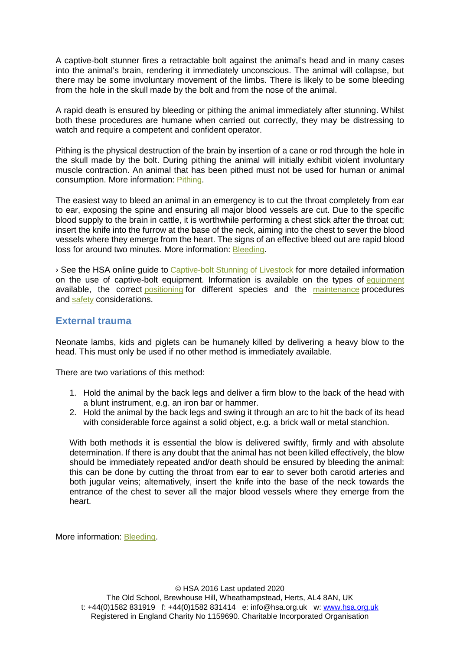A captive-bolt stunner fires a retractable bolt against the animal's head and in many cases into the animal's brain, rendering it immediately unconscious. The animal will collapse, but there may be some involuntary movement of the limbs. There is likely to be some bleeding from the hole in the skull made by the bolt and from the nose of the animal.

A rapid death is ensured by bleeding or pithing the animal immediately after stunning. Whilst both these procedures are humane when carried out correctly, they may be distressing to watch and require a competent and confident operator.

Pithing is the physical destruction of the brain by insertion of a cane or rod through the hole in the skull made by the bolt. During pithing the animal will initially exhibit violent involuntary muscle contraction. An animal that has been pithed must not be used for human or animal consumption. More information: [Pithing.](http://www.hsa.org.uk/bleeding-and-pithing/pithing)

The easiest way to bleed an animal in an emergency is to cut the throat completely from ear to ear, exposing the spine and ensuring all major blood vessels are cut. Due to the specific blood supply to the brain in cattle, it is worthwhile performing a chest stick after the throat cut; insert the knife into the furrow at the base of the neck, aiming into the chest to sever the blood vessels where they emerge from the heart. The signs of an effective bleed out are rapid blood loss for around two minutes. More information: [Bleeding.](http://www.hsa.org.uk/bleeding-and-pithing/bleeding)

› See the HSA online guide to [Captive-bolt](http://www.hsa.org.uk/introduction/introduction) Stunning of Livestock for more detailed information on the use of captive-bolt equipment. Information is available on the types of [equipment](http://www.hsa.org.uk/equipment/equipment) available, the correct [positioning](http://www.hsa.org.uk/positioning/positioning) for different species and the [maintenance](http://www.hsa.org.uk/maintenance/maintenance) procedures and [safety](http://www.hsa.org.uk/safety/safety) considerations.

## **External trauma**

Neonate lambs, kids and piglets can be humanely killed by delivering a heavy blow to the head. This must only be used if no other method is immediately available.

There are two variations of this method:

- 1. Hold the animal by the back legs and deliver a firm blow to the back of the head with a blunt instrument, e.g. an iron bar or hammer.
- 2. Hold the animal by the back legs and swing it through an arc to hit the back of its head with considerable force against a solid object, e.g. a brick wall or metal stanchion.

With both methods it is essential the blow is delivered swiftly, firmly and with absolute determination. If there is any doubt that the animal has not been killed effectively, the blow should be immediately repeated and/or death should be ensured by bleeding the animal: this can be done by cutting the throat from ear to ear to sever both carotid arteries and both jugular veins; alternatively, insert the knife into the base of the neck towards the entrance of the chest to sever all the major blood vessels where they emerge from the heart.

More information: [Bleeding.](http://www.hsa.org.uk/bleeding-and-pithing/bleeding)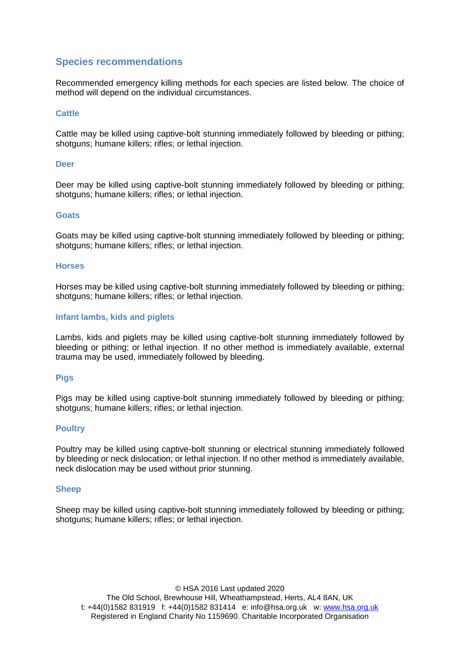# **Species recommendations**

Recommended emergency killing methods for each species are listed below. The choice of method will depend on the individual circumstances.

### **Cattle**

Cattle may be killed using captive-bolt stunning immediately followed by bleeding or pithing; shotguns; humane killers; rifles; or lethal injection.

#### **Deer**

Deer may be killed using captive-bolt stunning immediately followed by bleeding or pithing; shotguns; humane killers; rifles; or lethal injection.

#### **Goats**

Goats may be killed using captive-bolt stunning immediately followed by bleeding or pithing; shotguns; humane killers; rifles; or lethal injection.

#### **Horses**

Horses may be killed using captive-bolt stunning immediately followed by bleeding or pithing; shotguns; humane killers; rifles; or lethal injection.

#### **Infant lambs, kids and piglets**

Lambs, kids and piglets may be killed using captive-bolt stunning immediately followed by bleeding or pithing; or lethal injection. If no other method is immediately available, external trauma may be used, immediately followed by bleeding.

#### **Pigs**

Pigs may be killed using captive-bolt stunning immediately followed by bleeding or pithing; shotguns; humane killers; rifles; or lethal injection.

### **Poultry**

Poultry may be killed using captive-bolt stunning or electrical stunning immediately followed by bleeding or neck dislocation; or lethal injection. If no other method is immediately available, neck dislocation may be used without prior stunning.

#### **Sheep**

Sheep may be killed using captive-bolt stunning immediately followed by bleeding or pithing; shotguns; humane killers; rifles; or lethal injection.